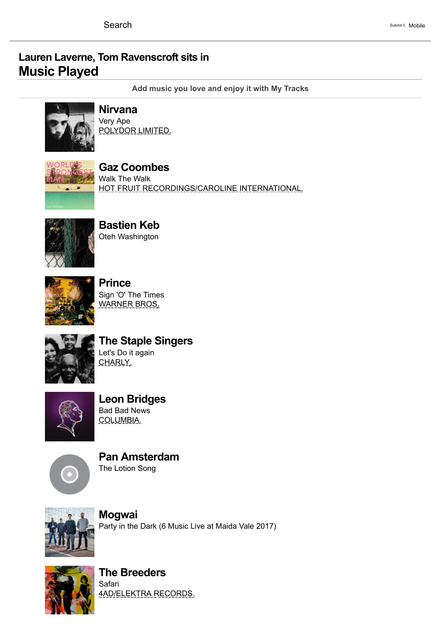## Lauren [Laverne,](https://www.bbc.co.uk/programmes/b00c000j) Tom [Ravenscroft](https://www.bbc.co.uk/programmes/b09xcqtv) sits in Music Played

[Add music you love and enjoy it with My Tracks](https://www.bbc.co.uk/music/tracks/my)



## [Nirvana](https://www.bbc.co.uk/music/artists/5b11f4ce-a62d-471e-81fc-a69a8278c7da) Very Ape

POLYDOR LIMITED.



Gaz [Coombes](https://www.bbc.co.uk/music/artists/c05a93d1-c9c4-41f4-8493-f55858c8212d) Walk The Walk HOT FRUIT RECORDINGS/CAROLINE INTERNATIONAL.



[Bastien](https://www.bbc.co.uk/music/artists/87287084-629e-4675-a9d5-c7bfc0106bbe) Keb Oteh Washington



**[Prince](https://www.bbc.co.uk/music/artists/070d193a-845c-479f-980e-bef15710653e)** Sign 'O' The Times WARNER BROS.



The Staple [Singers](https://www.bbc.co.uk/music/artists/3d49e36a-cc9e-411e-93c6-d1646ba5bd3a) Let's Do it again CHARLY.



Leon [Bridges](https://www.bbc.co.uk/music/artists/69d9dfd7-19b7-4a75-8a53-9f733fb5d774) Bad Bad News COLUMBIA.



Pan [Amsterdam](https://www.bbc.co.uk/music/artists/37c600e8-4c66-47dd-a81c-a064b7e7ea2f) The Lotion Song



[Mogwai](https://www.bbc.co.uk/music/artists/d700b3f5-45af-4d02-95ed-57d301bda93e) Party in the Dark (6 Music Live at Maida Vale 2017)



The [Breeders](https://www.bbc.co.uk/music/artists/667e856e-f3a7-42e9-8244-95422ef31321) Safari 4AD/ELEKTRA RECORDS.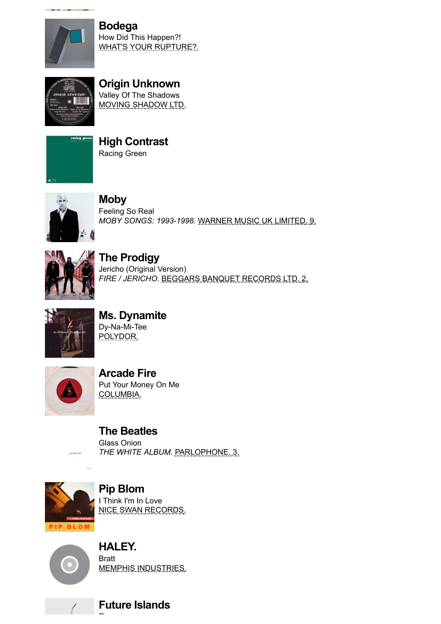

[Bodega](https://www.bbc.co.uk/music/artists/7eeedd8a-f7e5-44fd-a727-f9249407dd54) How Did This Happen?! WHAT'S YOUR RUPTURE?.



Origin [Unknown](https://www.bbc.co.uk/music/artists/b5525d77-93e5-4562-b575-8d39d7765245) Valley Of The Shadows MOVING SHADOW LTD.



High [Contrast](https://www.bbc.co.uk/music/artists/889b69e3-7b18-4889-b953-9f2931597204) Racing Green



[Moby](https://www.bbc.co.uk/music/artists/8970d868-0723-483b-a75b-51088913d3d4) Feeling So Real MOBY SONGS: 1993-1998. WARNER MUSIC UK LIMITED. 9.



The [Prodigy](https://www.bbc.co.uk/music/artists/4a4ee089-93b1-4470-af9a-6ff575d32704) Jericho (Original Version) FIRE / JERICHO. BEGGARS BANQUET RECORDS LTD. 2.



Ms. [Dynamite](https://www.bbc.co.uk/music/artists/c0c5e158-d61d-4043-a0eb-dc6cc1e0a539) Dy-Na-Mi-Tee POLYDOR.



[Arcade](https://www.bbc.co.uk/music/artists/52074ba6-e495-4ef3-9bb4-0703888a9f68) Fire Put Your Money On Me COLUMBIA.

The [Beatles](https://www.bbc.co.uk/music/artists/b10bbbfc-cf9e-42e0-be17-e2c3e1d2600d) Glass Onion THE WHITE ALBUM. PARLOPHONE. 3.



Pip [Blom](https://www.bbc.co.uk/music/artists/fe59b55b-099a-4123-bf82-c1840b6662c2) I Think I'm In Love NICE SWAN RECORDS.



HALEY. **Bratt** MEMPHIS INDUSTRIES.

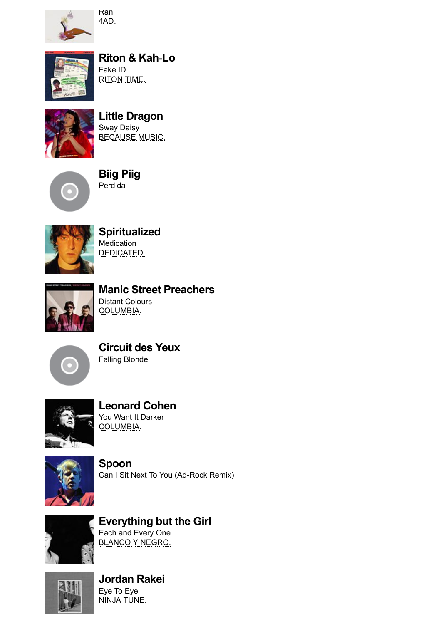

Ran 4AD.



[Riton](https://www.bbc.co.uk/music/artists/9b085502-2c93-446f-ab1b-858e281471ff) & [Kah](https://www.bbc.co.uk/music/artists/297188d1-2644-4ec3-968c-590e103e50ba)‐Lo Fake ID RITON TIME.



Little [Dragon](https://www.bbc.co.uk/music/artists/c8a9ae11-63bf-409b-8bf3-a96b3712a2ff) Sway Daisy BECAUSE MUSIC.



[Biig](https://www.bbc.co.uk/music/artists/b618a5f3-085d-4966-887f-6d264c61524a) Piig Perdida



**[Spiritualized](https://www.bbc.co.uk/music/artists/65041e06-83d2-4987-ae52-c17a915fc82a) Medication** DEDICATED.



Manic Street [Preachers](https://www.bbc.co.uk/music/artists/32efea44-6cb5-4b4f-bdaa-c8b8f6cef981) Distant Colours COLUMBIA.



[Circuit](https://www.bbc.co.uk/music/artists/b5861e2b-283d-4ec6-a613-d0228c654b31) des Yeux Falling Blonde



[Leonard](https://www.bbc.co.uk/music/artists/65314b12-0e08-43fa-ba33-baaa7b874c15) Cohen You Want It Darker COLUMBIA.



[Spoon](https://www.bbc.co.uk/music/artists/84eac621-1c5a-49a1-9500-555099c6e184) Can I Sit Next To You (Ad-Rock Remix)



[Everything](https://www.bbc.co.uk/music/artists/959cf5bf-ee29-4af6-a85a-0b480181d988) but the Girl Each and Every One BLANCO Y NEGRO.



[Jordan](https://www.bbc.co.uk/music/artists/812c46e5-3d65-4e80-ada8-269450c5621b) Rakei Eye To Eye **NINJA TUNE.**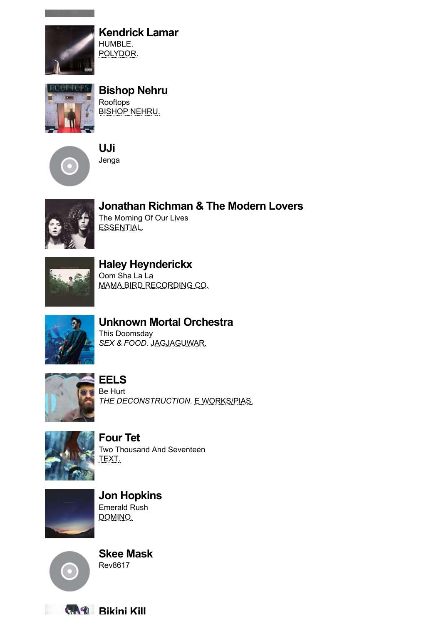

[Kendrick](https://www.bbc.co.uk/music/artists/381086ea-f511-4aba-bdf9-71c753dc5077) Lamar HUMBLE. POLYDOR.



[Bishop](https://www.bbc.co.uk/music/artists/0735e073-b829-4c10-9144-8ca286ec68b2) Nehru

Rooftops BISHOP NEHRU.



[UJi](https://www.bbc.co.uk/music/artists/bff3ea20-ab85-4f65-8987-88895a6e74a3) Jenga



[Jonathan](https://www.bbc.co.uk/music/artists/8a5dff84-c79f-4898-9e15-e100c53ebb58) Richman & The Modern Lovers The Morning Of Our Lives ESSENTIAL.



Haley [Heynderickx](https://www.bbc.co.uk/music/artists/f0805df4-1541-48b1-8482-4c789f83cfcf) Oom Sha La La MAMA BIRD RECORDING CO.



Unknown Mortal [Orchestra](https://www.bbc.co.uk/music/artists/e2305342-0bde-4a2c-aed0-4b88694834de)

This Doomsday SEX & FOOD. JAGJAGUWAR.



[EELS](https://www.bbc.co.uk/music/artists/14387b0f-765c-4852-852f-135335790466) Be Hurt THE DECONSTRUCTION. E WORKS/PIAS.



[Four](https://www.bbc.co.uk/music/artists/3bcff06f-675a-451f-9075-99e8657047e8) Tet Two Thousand And Seventeen TEXT.



Jon [Hopkins](https://www.bbc.co.uk/music/artists/0b0c25f4-f31c-46a5-a4fb-ccbf53d663bd) Emerald Rush DOMINO.



Skee [Mask](https://www.bbc.co.uk/music/artists/2b3e25ba-983e-44ac-9def-907e03910cd2) Rev8617